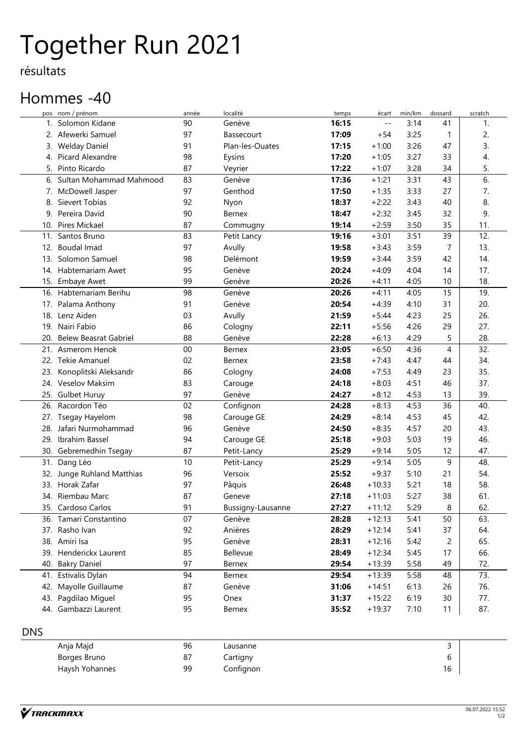## Together Run 2021

résultats

## Hommes -40

| pos        | nom / prénom                 | année | localité          | temps | écart           | min/km | dossard | scratch |
|------------|------------------------------|-------|-------------------|-------|-----------------|--------|---------|---------|
| 1.         | Solomon Kidane               | 90    | Genève            | 16:15 | $\perp$ $\perp$ | 3:14   | 41      | 1.      |
|            | 2. Afewerki Samuel           | 97    | Bassecourt        | 17:09 | $+54$           | 3:25   | 1       | 2.      |
| 3.         | <b>Welday Daniel</b>         | 91    | Plan-les-Ouates   | 17:15 | $+1:00$         | 3:26   | 47      | 3.      |
| 4.         | Picard Alexandre             | 98    | Eysins            | 17:20 | $+1:05$         | 3:27   | 33      | 4.      |
| 5.         | Pinto Ricardo                | 87    | Veyrier           | 17:22 | $+1:07$         | 3:28   | 34      | 5.      |
|            | 6. Sultan Mohammad Mahmood   | 83    | Genève            | 17:36 | $+1:21$         | 3:31   | 43      | 6.      |
|            | 7. McDowell Jasper           | 97    | Genthod           | 17:50 | $+1:35$         | 3:33   | 27      | 7.      |
| 8.         | Sievert Tobias               | 92    | Nyon              | 18:37 | $+2:22$         | 3:43   | 40      | 8.      |
|            | 9. Pereira David             | 90    | Bernex            | 18:47 | $+2:32$         | 3:45   | 32      | 9.      |
|            | 10. Pires Mickael            | 87    | Commugny          | 19:14 | $+2:59$         | 3:50   | 35      | 11.     |
| 11.        | Santos Bruno                 | 83    | Petit Lancy       | 19:16 | $+3:01$         | 3:51   | 39      | 12.     |
| 12.        | <b>Boudal Imad</b>           | 97    | Avully            | 19:58 | $+3:43$         | 3:59   | 7       | 13.     |
|            | 13. Solomon Samuel           | 98    | Delémont          | 19:59 | $+3:44$         | 3:59   | 42      | 14.     |
|            | 14. Habtemariam Awet         | 95    | Genève            | 20:24 | $+4:09$         | 4:04   | 14      | 17.     |
|            | 15. Embaye Awet              | 99    | Genève            | 20:26 | $+4:11$         | 4:05   | 10      | 18.     |
| 16.        | Habtemariam Berihu           | 98    | Genève            | 20:26 | $+4:11$         | 4:05   | 15      | 19.     |
|            | 17. Palama Anthony           | 91    | Genève            | 20:54 | $+4:39$         | 4:10   | 31      | 20.     |
|            | 18. Lenz Aiden               | 03    | Avully            | 21:59 | $+5:44$         | 4:23   | 25      | 26.     |
|            | 19. Nairi Fabio              | 86    | Cologny           | 22:11 | $+5:56$         | 4:26   | 29      | 27.     |
| 20.        | <b>Belew Beasrat Gabriel</b> | 88    | Genève            | 22:28 | $+6:13$         | 4:29   | 5       | 28.     |
|            | 21. Asmerom Henok            | 00    | Bernex            | 23:05 | $+6:50$         | 4:36   | 4       | 32.     |
|            | 22. Tekie Amanuel            | 02    | <b>Bernex</b>     | 23:58 | $+7:43$         | 4:47   | 44      | 34.     |
| 23.        | Konoplitski Aleksandr        | 86    | Cologny           | 24:08 | $+7:53$         | 4:49   | 23      | 35.     |
|            | 24. Veselov Maksim           | 83    | Carouge           | 24:18 | $+8:03$         | 4:51   | 46      | 37.     |
|            | 25. Gulbet Huruy             | 97    | Genève            | 24:27 | $+8:12$         | 4:53   | 13      | 39.     |
|            | 26. Racordon Téo             | 02    | Confignon         | 24:28 | $+8:13$         | 4:53   | 36      | 40.     |
| 27.        | <b>Tsegay Hayelom</b>        | 98    | Carouge GE        | 24:29 | $+8:14$         | 4:53   | 45      | 42.     |
|            | 28. Jafari Nurmohammad       | 96    | Genève            | 24:50 | $+8:35$         | 4:57   | 20      | 43.     |
| 29.        | Ibrahim Bassel               | 94    | Carouge GE        | 25:18 | $+9:03$         | 5:03   | 19      | 46.     |
|            | 30. Gebremedhin Tsegay       | 87    | Petit-Lancy       | 25:29 | $+9:14$         | 5:05   | 12      | 47.     |
| 31.        | Dang Léo                     | 10    | Petit-Lancy       | 25:29 | $+9:14$         | 5:05   | 9       | 48.     |
|            | 32. Junge Ruhland Matthias   | 96    | Versoix           | 25:52 | $+9:37$         | 5:10   | 21      | 54.     |
|            | 33. Horak Zafar              | 97    | Pâquis            | 26:48 | $+10:33$        | 5:21   | 18      | 58.     |
|            | 34. Riembau Marc             | 87    | Geneve            | 27:18 | $+11:03$        | 5:27   | 38      | 61.     |
|            | 35. Cardoso Carlos           | 91    | Bussigny-Lausanne | 27:27 | $+11:12$        | 5:29   | 8       | 62.     |
|            | 36. Tamari Constantino       | 07    | Genève            | 28:28 | $+12:13$        | 5:41   | 50      | 63.     |
|            | 37. Rasho Ivan               | 92    | Anières           | 28:29 | $+12:14$        | 5:41   | 37      | 64.     |
|            | 38. Amiri Isa                | 95    | Genève            | 28:31 | $+12:16$        | 5:42   | 2       | 65.     |
|            | 39. Henderickx Laurent       | 85    | Bellevue          | 28:49 | $+12:34$        | 5:45   | 17      | 66.     |
|            | 40. Bakry Daniel             | 97    | Bernex            | 29:54 | $+13:39$        | 5:58   | 49      | 72.     |
|            | 41. Estivalis Dylan          | 94    | Bernex            | 29:54 | $+13:39$        | 5:58   | 48      | 73.     |
|            | 42. Mayolle Guillaume        | 87    | Genève            | 31:06 | $+14:51$        | 6:13   | 26      | 76.     |
|            | 43. Pagdilao Miguel          | 95    | Onex              | 31:37 | $+15:22$        | 6:19   | 30      | 77.     |
|            | 44. Gambazzi Laurent         | 95    | Bernex            | 35:52 | $+19:37$        | 7:10   | 11      | 87.     |
|            |                              |       |                   |       |                 |        |         |         |
| <b>DNS</b> |                              |       |                   |       |                 |        |         |         |
|            |                              |       |                   |       |                 |        |         |         |

| Anja Majd      | 96      | Lausanne  |     |
|----------------|---------|-----------|-----|
| Borges Bruno   | $\circ$ | cartigny  |     |
| Haysh Yohannes | 99      | Confignon | . ხ |